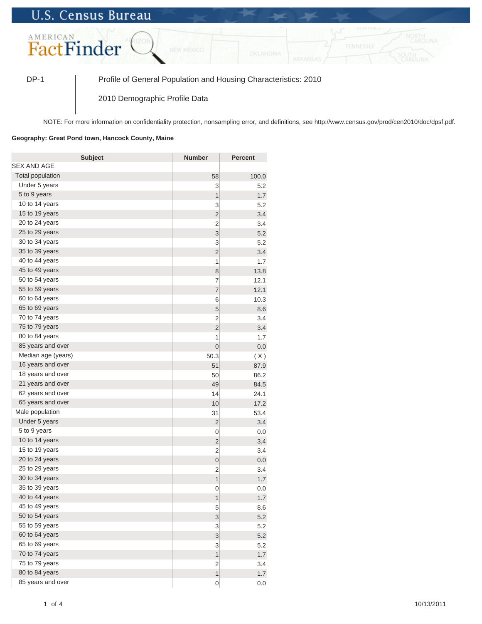## **U.S. Census Bureau**



DP-1 Profile of General Population and Housing Characteristics: 2010

2010 Demographic Profile Data

NOTE: For more information on confidentiality protection, nonsampling error, and definitions, see http://www.census.gov/prod/cen2010/doc/dpsf.pdf.

## **Geography: Great Pond town, Hancock County, Maine**

| <b>Subject</b>     | <b>Number</b>           | Percent |
|--------------------|-------------------------|---------|
| SEX AND AGE        |                         |         |
| Total population   | 58                      | 100.0   |
| Under 5 years      | 3                       | 5.2     |
| 5 to 9 years       | $\mathbf{1}$            | 1.7     |
| 10 to 14 years     | 3                       | 5.2     |
| 15 to 19 years     | $\overline{c}$          | 3.4     |
| 20 to 24 years     | $\overline{2}$          | 3.4     |
| 25 to 29 years     | 3                       | 5.2     |
| 30 to 34 years     | 3                       | 5.2     |
| 35 to 39 years     | $\overline{2}$          | 3.4     |
| 40 to 44 years     | 1                       | 1.7     |
| 45 to 49 years     | 8                       | 13.8    |
| 50 to 54 years     | $\overline{7}$          | 12.1    |
| 55 to 59 years     | $\overline{7}$          | 12.1    |
| 60 to 64 years     | 6                       | 10.3    |
| 65 to 69 years     | 5                       | 8.6     |
| 70 to 74 years     | $\overline{2}$          | 3.4     |
| 75 to 79 years     | $\overline{c}$          | 3.4     |
| 80 to 84 years     | 1                       | 1.7     |
| 85 years and over  | $\mathbf 0$             | 0.0     |
| Median age (years) | 50.3                    | (X)     |
| 16 years and over  | 51                      | 87.9    |
| 18 years and over  | 50                      | 86.2    |
| 21 years and over  | 49                      | 84.5    |
| 62 years and over  | 14                      | 24.1    |
| 65 years and over  | 10                      | 17.2    |
| Male population    | 31                      | 53.4    |
| Under 5 years      | $\overline{2}$          | 3.4     |
| 5 to 9 years       | 0                       | 0.0     |
| 10 to 14 years     | $\overline{2}$          | 3.4     |
| 15 to 19 years     | $\overline{2}$          | 3.4     |
| 20 to 24 years     | $\mathbf{0}$            | 0.0     |
| 25 to 29 years     | $\overline{2}$          | 3.4     |
| 30 to 34 years     | 1                       | 1.7     |
| 35 to 39 years     | 0                       | 0.0     |
| 40 to 44 years     | 1                       | 1.7     |
| 45 to 49 years     | 5                       | 8.6     |
| 50 to 54 years     | 3                       | 5.2     |
| 55 to 59 years     | 3                       | 5.2     |
| 60 to 64 years     | 3                       | 5.2     |
| 65 to 69 years     | 3                       | 5.2     |
| 70 to 74 years     | $\overline{\mathbf{1}}$ | 1.7     |
| 75 to 79 years     | $\overline{2}$          | 3.4     |
| 80 to 84 years     | 1                       | 1.7     |
| 85 years and over  | $\mathbf 0$             | 0.0     |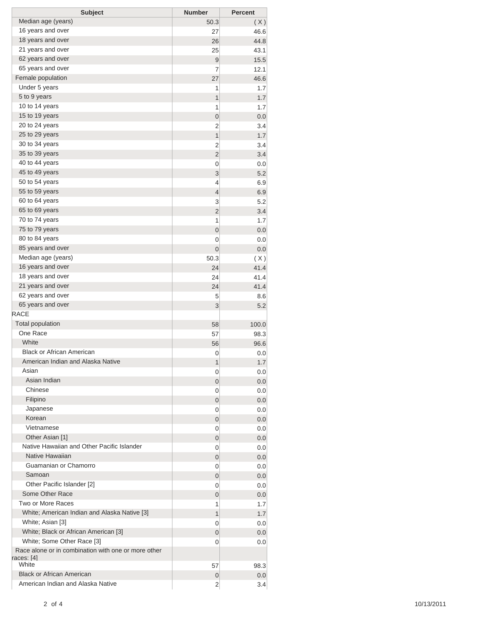| <b>Subject</b>                                                | <b>Number</b>  | <b>Percent</b> |
|---------------------------------------------------------------|----------------|----------------|
| Median age (years)                                            | 50.3           | (X)            |
| 16 years and over                                             | 27             | 46.6           |
| 18 years and over                                             | 26             | 44.8           |
| 21 years and over                                             | 25             | 43.1           |
| 62 years and over                                             | $\overline{9}$ | 15.5           |
| 65 years and over                                             | 7              | 12.1           |
| Female population                                             | 27             | 46.6           |
| Under 5 years                                                 | 1              | 1.7            |
| 5 to 9 years                                                  | 1              | 1.7            |
| 10 to 14 years                                                | 1              | 1.7            |
| 15 to 19 years                                                | 0              | 0.0            |
| 20 to 24 years                                                | 2              | 3.4            |
| 25 to 29 years                                                | 1              | 1.7            |
| 30 to 34 years<br>35 to 39 years                              | 2              | 3.4            |
| 40 to 44 years                                                | $\overline{2}$ | 3.4            |
| 45 to 49 years                                                | 0<br>3         | 0.0<br>5.2     |
| 50 to 54 years                                                | 4              | 6.9            |
| 55 to 59 years                                                | $\overline{4}$ | 6.9            |
| 60 to 64 years                                                | 3              | 5.2            |
| 65 to 69 years                                                | $\overline{2}$ | 3.4            |
| 70 to 74 years                                                | 1              | 1.7            |
| 75 to 79 years                                                | $\mathbf 0$    | 0.0            |
| 80 to 84 years                                                | 0              | 0.0            |
| 85 years and over                                             | 0              | 0.0            |
| Median age (years)                                            | 50.3           | (X)            |
| 16 years and over                                             | 24             | 41.4           |
| 18 years and over                                             | 24             | 41.4           |
| 21 years and over                                             | 24             | 41.4           |
| 62 years and over                                             | 5              | 8.6            |
| 65 years and over                                             | 3              | 5.2            |
| <b>RACE</b>                                                   |                |                |
| <b>Total population</b>                                       | 58             | 100.0          |
| One Race                                                      | 57             | 98.3           |
| White                                                         | 56             | 96.6           |
| <b>Black or African American</b>                              | 0              | 0.0            |
| American Indian and Alaska Native                             | 1              | 1.7            |
| Asian                                                         | 0              | 0.0            |
| Asian Indian                                                  | 0              | 0.0            |
| Chinese                                                       | 0              | 0.0            |
| Filipino                                                      | 0              | 0.0            |
| Japanese                                                      | 0              | 0.0            |
| Korean                                                        | 0              | 0.0            |
| Vietnamese                                                    | 0              | 0.0            |
| Other Asian [1]<br>Native Hawaiian and Other Pacific Islander | 0              | 0.0            |
| Native Hawaiian                                               | 0              | 0.0            |
| Guamanian or Chamorro                                         | 0              | 0.0            |
| Samoan                                                        | 0              | 0.0            |
| Other Pacific Islander [2]                                    | 0              | 0.0            |
| Some Other Race                                               | 0              | 0.0            |
| Two or More Races                                             | 0              | 0.0            |
| White; American Indian and Alaska Native [3]                  | 1<br>1         | 1.7<br>1.7     |
| White; Asian [3]                                              | 0              | 0.0            |
| White; Black or African American [3]                          | 0              | 0.0            |
| White; Some Other Race [3]                                    | 0              | 0.0            |
| Race alone or in combination with one or more other           |                |                |
| races: [4]<br>White                                           | 57             | 98.3           |
| <b>Black or African American</b>                              | 0              | 0.0            |
| American Indian and Alaska Native                             | $\overline{2}$ | 3.4            |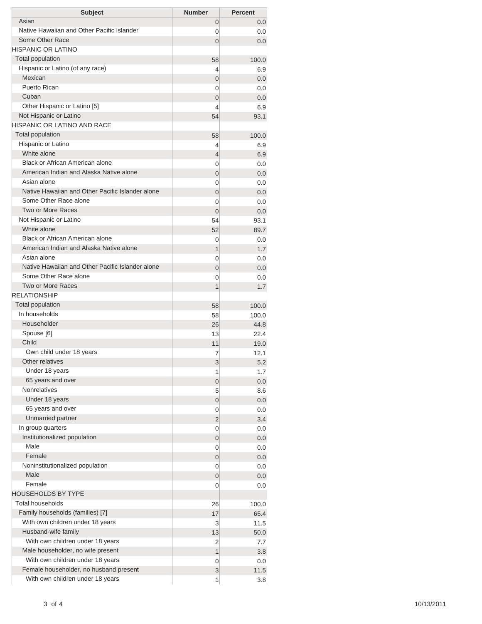| <b>Subject</b>                                                             | <b>Number</b>  | <b>Percent</b> |
|----------------------------------------------------------------------------|----------------|----------------|
| Asian                                                                      | 0              | 0.0            |
| Native Hawaiian and Other Pacific Islander                                 | 0              | 0.0            |
| Some Other Race                                                            | $\Omega$       | 0.0            |
| <b>HISPANIC OR LATINO</b>                                                  |                |                |
| <b>Total population</b>                                                    | 58             | 100.0          |
| Hispanic or Latino (of any race)                                           | 4              | 6.9            |
| Mexican                                                                    | 0              | 0.0            |
| Puerto Rican                                                               | 0              | 0.0            |
| Cuban                                                                      | 0              | 0.0            |
| Other Hispanic or Latino [5]                                               | 4              | 6.9            |
| Not Hispanic or Latino                                                     | 54             | 93.1           |
| <b>HISPANIC OR LATINO AND RACE</b>                                         |                |                |
| <b>Total population</b>                                                    | 58             | 100.0          |
| Hispanic or Latino                                                         | 4              | 6.9            |
| White alone                                                                | 4              | 6.9            |
| Black or African American alone                                            | 0              | 0.0            |
| American Indian and Alaska Native alone                                    | 0              | 0.0            |
| Asian alone                                                                | 0              | 0.0            |
| Native Hawaiian and Other Pacific Islander alone                           | $\overline{0}$ | 0.0            |
| Some Other Race alone                                                      | 0              | 0.0            |
| Two or More Races                                                          | $\Omega$       | 0.0            |
| Not Hispanic or Latino                                                     | 54             | 93.1           |
| White alone                                                                | 52             | 89.7           |
| Black or African American alone<br>American Indian and Alaska Native alone | 0              | 0.0            |
| Asian alone                                                                | 1              | 1.7            |
| Native Hawaiian and Other Pacific Islander alone                           | 0              | 0.0            |
| Some Other Race alone                                                      | $\overline{0}$ | 0.0            |
| <b>Two or More Races</b>                                                   | 0              | 0.0            |
| <b>RELATIONSHIP</b>                                                        | 1              | 1.7            |
| Total population                                                           |                |                |
| In households                                                              | 58             | 100.0<br>100.0 |
| Householder                                                                | 58<br>26       | 44.8           |
| Spouse [6]                                                                 | 13             | 22.4           |
| Child                                                                      | 11             | 19.0           |
| Own child under 18 years                                                   | 7              | 12.1           |
| Other relatives                                                            | 3              | 5.2            |
| Under 18 years                                                             | 1              | 1.7            |
| 65 years and over                                                          | 0              | 0.0            |
| <b>Nonrelatives</b>                                                        | 5              | 8.6            |
| Under 18 years                                                             | 0              | 0.0            |
| 65 years and over                                                          | 0              | 0.0            |
| Unmarried partner                                                          | 2              | 3.4            |
| In group quarters                                                          | 0              | 0.0            |
| Institutionalized population                                               | 0              | 0.0            |
| Male                                                                       | 0              | 0.0            |
| Female                                                                     | 0              | 0.0            |
| Noninstitutionalized population                                            | 0              | 0.0            |
| Male                                                                       | 0              | 0.0            |
| Female                                                                     | 0              | 0.0            |
| <b>HOUSEHOLDS BY TYPE</b>                                                  |                |                |
| <b>Total households</b>                                                    | 26             | 100.0          |
| Family households (families) [7]                                           | 17             | 65.4           |
| With own children under 18 years                                           | 3              | 11.5           |
| Husband-wife family                                                        | 13             | 50.0           |
| With own children under 18 years                                           | 2              | 7.7            |
| Male householder, no wife present                                          | 1              | 3.8            |
| With own children under 18 years                                           | 0              | 0.0            |
| Female householder, no husband present                                     | 3              | 11.5           |
| With own children under 18 years                                           | 1              | 3.8            |